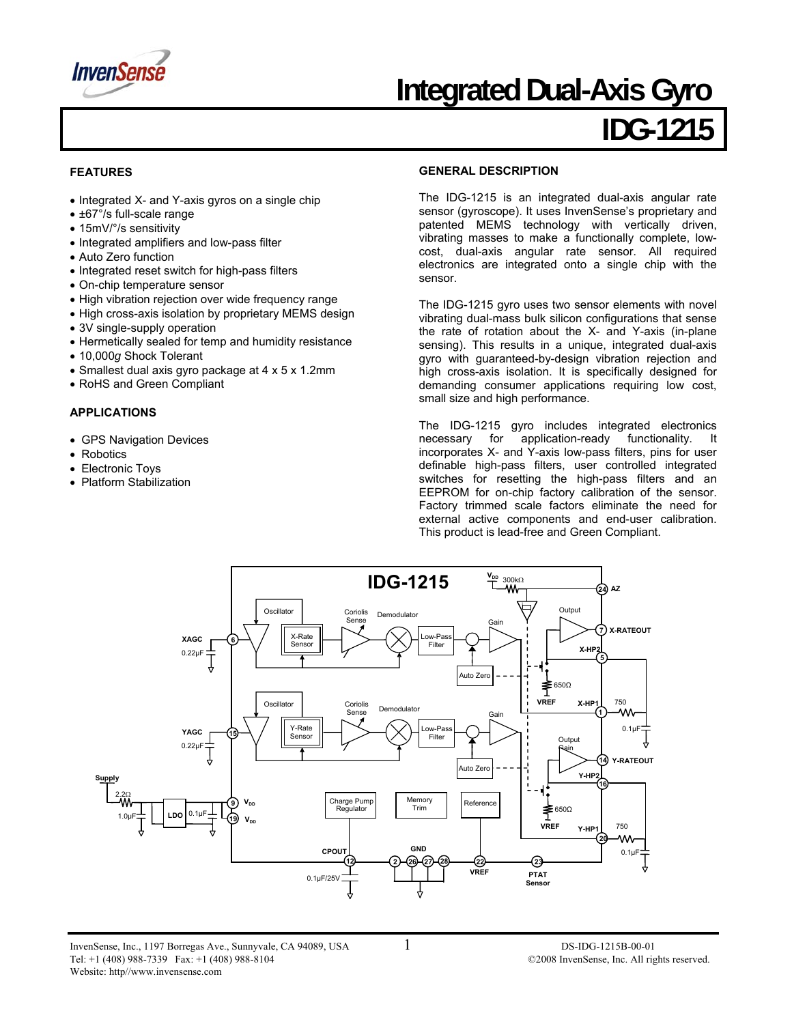

## **Integrated Dual-Axis Gyro**

## **IDG-1215**

#### **FEATURES**

- Integrated X- and Y-axis gyros on a single chip
- ±67°/s full-scale range
- 15mV/°/s sensitivity
- Integrated amplifiers and low-pass filter
- Auto Zero function
- Integrated reset switch for high-pass filters
- On-chip temperature sensor
- High vibration rejection over wide frequency range
- High cross-axis isolation by proprietary MEMS design
- 3V single-supply operation
- Hermetically sealed for temp and humidity resistance
- 10,000*g* Shock Tolerant
- Smallest dual axis gyro package at 4 x 5 x 1.2mm
- RoHS and Green Compliant

#### **APPLICATIONS**

- GPS Navigation Devices
- Robotics
- Electronic Toys
- Platform Stabilization

#### **GENERAL DESCRIPTION**

The IDG-1215 is an integrated dual-axis angular rate sensor (gyroscope). It uses InvenSense's proprietary and patented MEMS technology with vertically driven, vibrating masses to make a functionally complete, lowcost, dual-axis angular rate sensor. All required electronics are integrated onto a single chip with the sensor.

The IDG-1215 gyro uses two sensor elements with novel vibrating dual-mass bulk silicon configurations that sense the rate of rotation about the X- and Y-axis (in-plane sensing). This results in a unique, integrated dual-axis gyro with guaranteed-by-design vibration rejection and high cross-axis isolation. It is specifically designed for demanding consumer applications requiring low cost, small size and high performance.

The IDG-1215 gyro includes integrated electronics necessary for application-ready functionality. It incorporates X- and Y-axis low-pass filters, pins for user definable high-pass filters, user controlled integrated switches for resetting the high-pass filters and an EEPROM for on-chip factory calibration of the sensor. Factory trimmed scale factors eliminate the need for external active components and end-user calibration. This product is lead-free and Green Compliant.

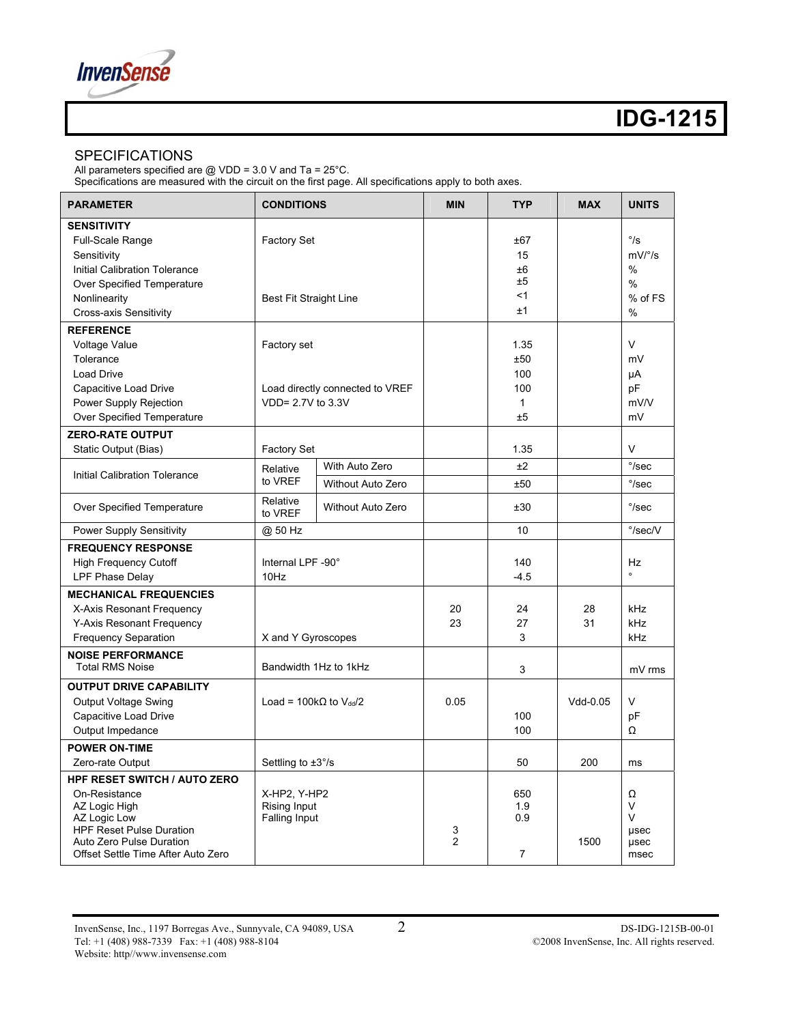

#### SPECIFICATIONS

All parameters specified are @ VDD = 3.0 V and Ta = 25°C.

Specifications are measured with the circuit on the first page. All specifications apply to both axes.

| <b>PARAMETER</b>                                                                                                                                                                           | <b>CONDITIONS</b>                                                   |                          | <b>MIN</b>          | <b>TYP</b>                                      | <b>MAX</b> | <b>UNITS</b>                                                          |
|--------------------------------------------------------------------------------------------------------------------------------------------------------------------------------------------|---------------------------------------------------------------------|--------------------------|---------------------|-------------------------------------------------|------------|-----------------------------------------------------------------------|
| <b>SENSITIVITY</b><br>Full-Scale Range<br>Sensitivity<br>Initial Calibration Tolerance<br>Over Specified Temperature<br>Nonlinearity<br><b>Cross-axis Sensitivity</b>                      | <b>Factory Set</b><br>Best Fit Straight Line                        |                          |                     | ±67<br>15<br>±6<br>±5<br>< 1<br>±1              |            | $\degree$ /s<br>$mV/°$ /s<br>$\%$<br>$\frac{0}{0}$<br>% of FS<br>$\%$ |
| <b>REFERENCE</b><br>Voltage Value<br>Tolerance<br><b>Load Drive</b><br>Capacitive Load Drive<br>Power Supply Rejection<br>Over Specified Temperature                                       | Factory set<br>Load directly connected to VREF<br>VDD= 2.7V to 3.3V |                          |                     | 1.35<br>±50<br>100<br>100<br>$\mathbf{1}$<br>±5 |            | V<br>mV<br>μA<br>pF<br>mV/V<br>mV                                     |
| <b>ZERO-RATE OUTPUT</b>                                                                                                                                                                    |                                                                     |                          |                     |                                                 |            |                                                                       |
| Static Output (Bias)                                                                                                                                                                       | Factory Set                                                         |                          |                     | 1.35                                            |            | $\vee$                                                                |
| <b>Initial Calibration Tolerance</b>                                                                                                                                                       | Relative<br>to VREF                                                 | With Auto Zero           |                     | ±2                                              |            | $\degree$ /sec                                                        |
|                                                                                                                                                                                            |                                                                     | <b>Without Auto Zero</b> |                     | ±50                                             |            | $\degree$ /sec                                                        |
| Over Specified Temperature                                                                                                                                                                 | Relative<br>to VREF                                                 | Without Auto Zero        |                     | ±30                                             |            | $\degree$ /sec                                                        |
| <b>Power Supply Sensitivity</b>                                                                                                                                                            | @ 50 Hz                                                             |                          |                     | 10                                              |            | $\degree$ /sec/V                                                      |
| <b>FREQUENCY RESPONSE</b><br><b>High Frequency Cutoff</b><br>LPF Phase Delay                                                                                                               | Internal LPF -90°<br>10Hz                                           |                          |                     | 140<br>$-4.5$                                   |            | Hz                                                                    |
| <b>MECHANICAL FREQUENCIES</b><br>X-Axis Resonant Frequency<br>Y-Axis Resonant Frequency<br><b>Frequency Separation</b><br><b>NOISE PERFORMANCE</b>                                         | X and Y Gyroscopes                                                  |                          | 20<br>23            | 24<br>27<br>3                                   | 28<br>31   | kHz<br>kHz<br>kHz                                                     |
| <b>Total RMS Noise</b>                                                                                                                                                                     | Bandwidth 1Hz to 1kHz                                               |                          |                     | 3                                               |            | mV rms                                                                |
| <b>OUTPUT DRIVE CAPABILITY</b><br><b>Output Voltage Swing</b><br>Capacitive Load Drive<br>Output Impedance                                                                                 | Load = $100k\Omega$ to $V_{dd}/2$                                   |                          | 0.05                | 100<br>100                                      | Vdd-0.05   | $\vee$<br>pF<br>Ω                                                     |
| <b>POWER ON-TIME</b>                                                                                                                                                                       |                                                                     |                          |                     |                                                 |            |                                                                       |
| Zero-rate Output                                                                                                                                                                           | Settling to $\pm 3^{\circ}/s$                                       |                          |                     | 50                                              | 200        | ms                                                                    |
| <b>HPF RESET SWITCH / AUTO ZERO</b><br>On-Resistance<br>AZ Logic High<br>AZ Logic Low<br><b>HPF Reset Pulse Duration</b><br>Auto Zero Pulse Duration<br>Offset Settle Time After Auto Zero | X-HP2, Y-HP2<br>Rising Input<br><b>Falling Input</b>                |                          | 3<br>$\overline{2}$ | 650<br>1.9<br>0.9<br>$\overline{7}$             | 1500       | Ω<br>$\vee$<br>$\vee$<br>usec<br>usec<br>msec                         |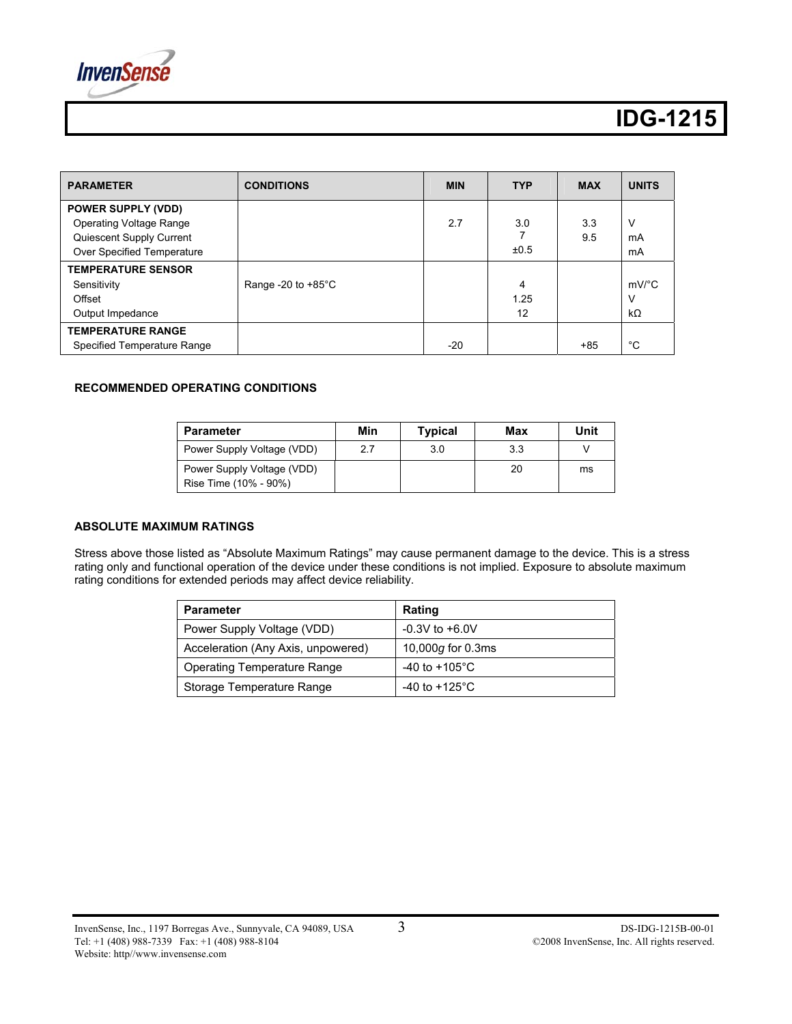

| <b>PARAMETER</b>                                                                                                      | <b>CONDITIONS</b>            | <b>MIN</b> | <b>TYP</b>      | <b>MAX</b> | <b>UNITS</b>                          |
|-----------------------------------------------------------------------------------------------------------------------|------------------------------|------------|-----------------|------------|---------------------------------------|
| <b>POWER SUPPLY (VDD)</b><br><b>Operating Voltage Range</b><br>Quiescent Supply Current<br>Over Specified Temperature |                              | 2.7        | 3.0<br>±0.5     | 3.3<br>9.5 | V<br>mA<br>mA                         |
| <b>TEMPERATURE SENSOR</b><br>Sensitivity<br>Offset<br>Output Impedance                                                | Range -20 to $+85^{\circ}$ C |            | 4<br>1.25<br>12 |            | $mV$ <sup>o</sup> C<br>ν<br>$k\Omega$ |
| <b>TEMPERATURE RANGE</b><br>Specified Temperature Range                                                               |                              | $-20$      |                 | $+85$      | °C                                    |

#### **RECOMMENDED OPERATING CONDITIONS**

| <b>Parameter</b>                                    | Min | Typical | Max | Unit |
|-----------------------------------------------------|-----|---------|-----|------|
| Power Supply Voltage (VDD)                          | 2.7 | 3.0     | 3.3 |      |
| Power Supply Voltage (VDD)<br>Rise Time (10% - 90%) |     |         | 20  | ms   |

#### **ABSOLUTE MAXIMUM RATINGS**

Stress above those listed as "Absolute Maximum Ratings" may cause permanent damage to the device. This is a stress rating only and functional operation of the device under these conditions is not implied. Exposure to absolute maximum rating conditions for extended periods may affect device reliability.

| <b>Parameter</b>                   | Rating                           |
|------------------------------------|----------------------------------|
| Power Supply Voltage (VDD)         | $-0.3V$ to $+6.0V$               |
| Acceleration (Any Axis, unpowered) | 10,000 $q$ for 0.3ms             |
| Operating Temperature Range        | -40 to +105 $^{\circ}$ C         |
| Storage Temperature Range          | -40 to +125 $\mathrm{^{\circ}C}$ |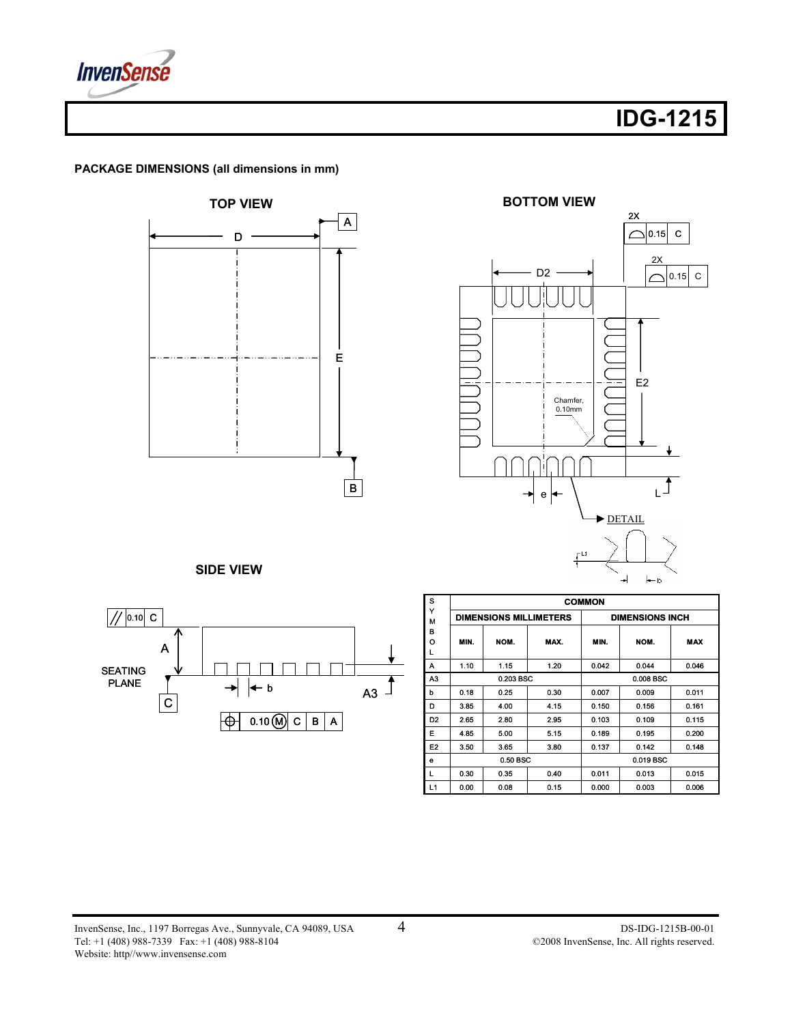

**PACKAGE DIMENSIONS (all dimensions in mm)** 





**SIDE VIEW** 



| s              | <b>COMMON</b> |                               |           |           |                        |            |  |
|----------------|---------------|-------------------------------|-----------|-----------|------------------------|------------|--|
| Y<br>M         |               | <b>DIMENSIONS MILLIMETERS</b> |           |           | <b>DIMENSIONS INCH</b> |            |  |
| в              |               |                               |           |           |                        |            |  |
| O              | MIN.          | NOM.                          | MAX.      | MIN.      | NOM.                   | <b>MAX</b> |  |
| L              |               |                               |           |           |                        |            |  |
| A              | 1.10          | 1.15                          | 1.20      | 0.042     | 0.044                  | 0.046      |  |
| A3             | 0.203 BSC     |                               |           | 0.008 BSC |                        |            |  |
| b              | 0.18          | 0.25                          | 0.30      | 0.007     | 0.009                  | 0.011      |  |
| D              | 3.85          | 4.00                          | 4.15      | 0.150     | 0.156                  | 0.161      |  |
| D <sub>2</sub> | 2.65          | 2.80                          | 2.95      | 0.103     | 0.109                  | 0.115      |  |
| Е              | 4.85          | 5.00                          | 5.15      | 0.189     | 0.195                  | 0.200      |  |
| E <sub>2</sub> | 3.50          | 3.65                          | 3.80      | 0.137     | 0.142                  | 0.148      |  |
| е              | 0.50 BSC      |                               | 0.019 BSC |           |                        |            |  |
| L              | 0.30          | 0.35                          | 0.40      | 0.011     | 0.013                  | 0.015      |  |
| L1             | 0.00          | 0.08                          | 0.15      | 0.000     | 0.003                  | 0.006      |  |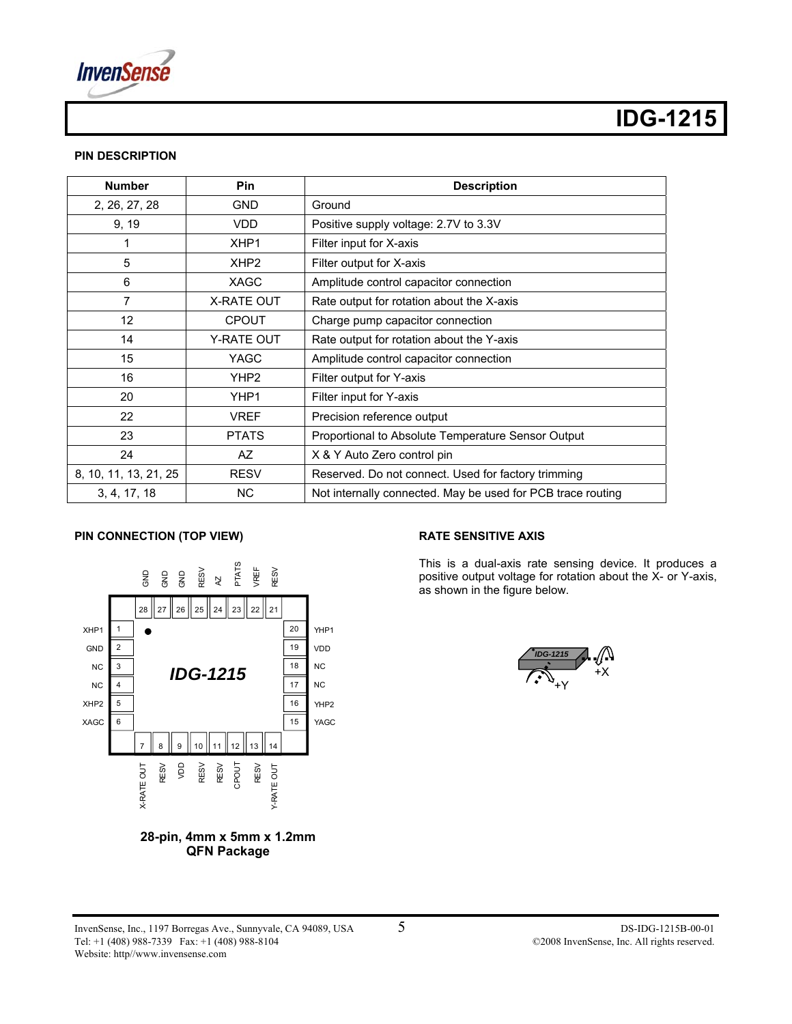

#### **PIN DESCRIPTION**

| <b>Number</b>         | <b>Pin</b>        | <b>Description</b>                                          |
|-----------------------|-------------------|-------------------------------------------------------------|
| 2, 26, 27, 28         | <b>GND</b>        | Ground                                                      |
| 9, 19                 | VDD               | Positive supply voltage: 2.7V to 3.3V                       |
|                       | XHP <sub>1</sub>  | Filter input for X-axis                                     |
| 5                     | XHP <sub>2</sub>  | Filter output for X-axis                                    |
| 6                     | <b>XAGC</b>       | Amplitude control capacitor connection                      |
| 7                     | <b>X-RATE OUT</b> | Rate output for rotation about the X-axis                   |
| 12                    | <b>CPOUT</b>      | Charge pump capacitor connection                            |
| 14                    | Y-RATE OUT        | Rate output for rotation about the Y-axis                   |
| 15                    | <b>YAGC</b>       | Amplitude control capacitor connection                      |
| 16                    | YHP <sub>2</sub>  | Filter output for Y-axis                                    |
| 20                    | YHP1              | Filter input for Y-axis                                     |
| 22                    | <b>VREF</b>       | Precision reference output                                  |
| 23                    | <b>PTATS</b>      | Proportional to Absolute Temperature Sensor Output          |
| 24                    | AZ                | X & Y Auto Zero control pin                                 |
| 8, 10, 11, 13, 21, 25 | <b>RESV</b>       | Reserved. Do not connect. Used for factory trimming         |
| 3, 4, 17, 18          | <b>NC</b>         | Not internally connected. May be used for PCB trace routing |

#### **PIN CONNECTION (TOP VIEW)**





#### **RATE SENSITIVE AXIS**

This is a dual-axis rate sensing device. It produces a positive output voltage for rotation about the X- or Y-axis, as shown in the figure below.

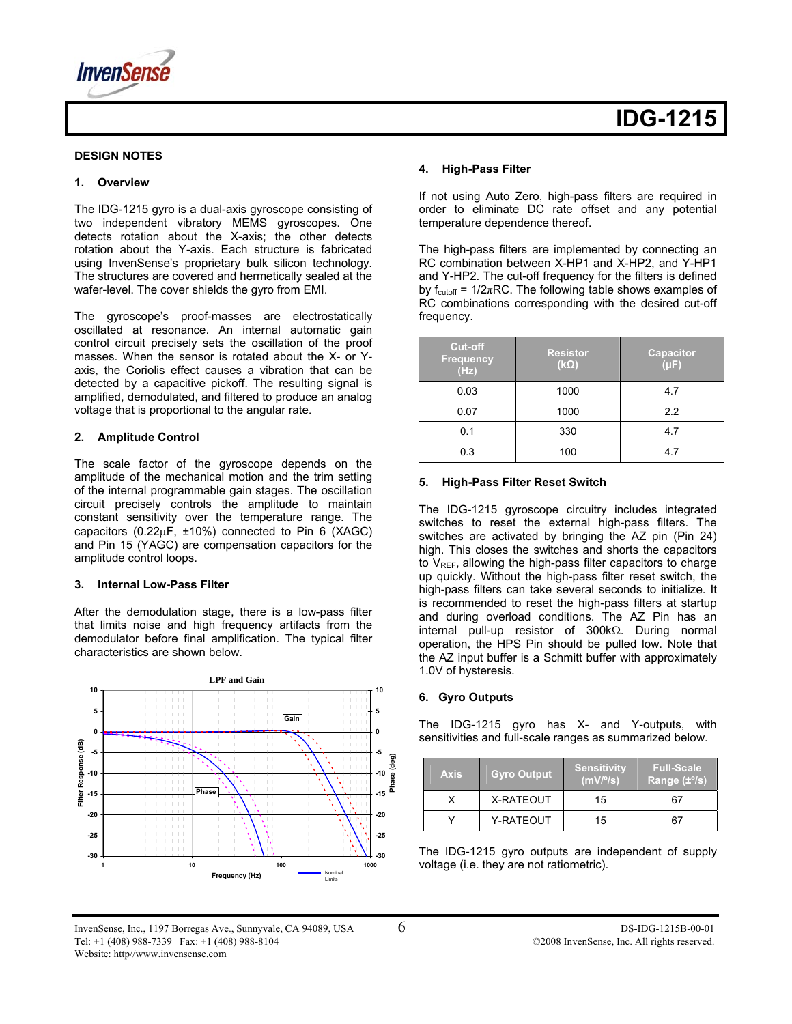

#### **DESIGN NOTES**

#### **1. Overview**

The IDG-1215 gyro is a dual-axis gyroscope consisting of two independent vibratory MEMS gyroscopes. One detects rotation about the X-axis; the other detects rotation about the Y-axis. Each structure is fabricated using InvenSense's proprietary bulk silicon technology. The structures are covered and hermetically sealed at the wafer-level. The cover shields the gyro from EMI.

The gyroscope's proof-masses are electrostatically oscillated at resonance. An internal automatic gain control circuit precisely sets the oscillation of the proof masses. When the sensor is rotated about the X- or Yaxis, the Coriolis effect causes a vibration that can be detected by a capacitive pickoff. The resulting signal is amplified, demodulated, and filtered to produce an analog voltage that is proportional to the angular rate.

#### **2. Amplitude Control**

The scale factor of the gyroscope depends on the amplitude of the mechanical motion and the trim setting of the internal programmable gain stages. The oscillation circuit precisely controls the amplitude to maintain constant sensitivity over the temperature range. The capacitors (0.22 $\mu$ F, ±10%) connected to Pin 6 (XAGC) and Pin 15 (YAGC) are compensation capacitors for the amplitude control loops.

#### **3. Internal Low-Pass Filter**

After the demodulation stage, there is a low-pass filter that limits noise and high frequency artifacts from the demodulator before final amplification. The typical filter characteristics are shown below.



#### **4. High-Pass Filter**

If not using Auto Zero, high-pass filters are required in order to eliminate DC rate offset and any potential temperature dependence thereof.

The high-pass filters are implemented by connecting an RC combination between X-HP1 and X-HP2, and Y-HP1 and Y-HP2. The cut-off frequency for the filters is defined by  $f_{\text{cutoff}} = 1/2\pi RC$ . The following table shows examples of RC combinations corresponding with the desired cut-off frequency.

| <b>Cut-off</b><br><b>Frequency</b><br>(Hz) | <b>Resistor</b><br>$(k\Omega)$ | <b>Capacitor</b><br>$(\mu F)$ |
|--------------------------------------------|--------------------------------|-------------------------------|
| 0.03                                       | 1000                           | 4.7                           |
| 0.07                                       | 1000                           | 2.2                           |
| 0.1                                        | 330                            | 4.7                           |
| 0.3                                        | 100                            | 4.7                           |

#### **5. High-Pass Filter Reset Switch**

The IDG-1215 gyroscope circuitry includes integrated switches to reset the external high-pass filters. The switches are activated by bringing the AZ pin (Pin 24) high. This closes the switches and shorts the capacitors to V<sub>REF</sub>, allowing the high-pass filter capacitors to charge up quickly. Without the high-pass filter reset switch, the high-pass filters can take several seconds to initialize. It is recommended to reset the high-pass filters at startup and during overload conditions. The AZ Pin has an internal pull-up resistor of 300kΩ. During normal operation, the HPS Pin should be pulled low. Note that the AZ input buffer is a Schmitt buffer with approximately 1.0V of hysteresis.

#### **6. Gyro Outputs**

The IDG-1215 gyro has X- and Y-outputs, with sensitivities and full-scale ranges as summarized below.

| <b>Axis</b> | <b>Gyro Output</b> | <b>Sensitivity</b><br>$(mV)^{o}(s)$ | <b>Full-Scale</b><br>Range $(\pm \frac{0}{5})$ |
|-------------|--------------------|-------------------------------------|------------------------------------------------|
|             | X-RATEOUT          | 15                                  | 67                                             |
|             | Y-RATEOUT          | 15                                  | 67                                             |

The IDG-1215 gyro outputs are independent of supply voltage (i.e. they are not ratiometric).

InvenSense, Inc., 1197 Borregas Ave., Sunnyvale, CA 94089, USA 6 DS-IDG-1215B-00-01 Tel: +1 (408) 988-7339 Fax: +1 (408) 988-8104 C2008 InvenSense, Inc. All rights reserved. Website: http//www.invensense.com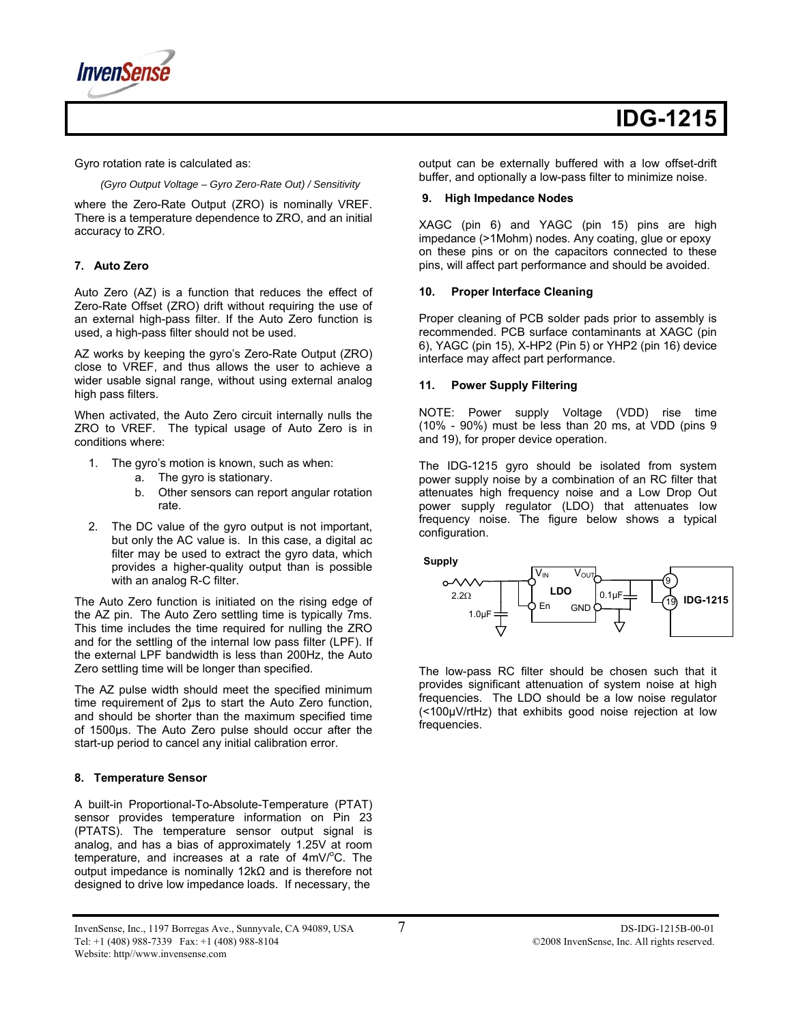**InvenS** 

Gyro rotation rate is calculated as:

 *(Gyro Output Voltage – Gyro Zero-Rate Out) / Sensitivity* 

where the Zero-Rate Output (ZRO) is nominally VREF. There is a temperature dependence to ZRO, and an initial accuracy to ZRO.

#### **7. Auto Zero**

Auto Zero (AZ) is a function that reduces the effect of Zero-Rate Offset (ZRO) drift without requiring the use of an external high-pass filter. If the Auto Zero function is used, a high-pass filter should not be used.

AZ works by keeping the gyro's Zero-Rate Output (ZRO) close to VREF, and thus allows the user to achieve a wider usable signal range, without using external analog high pass filters.

When activated, the Auto Zero circuit internally nulls the ZRO to VREF. The typical usage of Auto Zero is in conditions where:

- 1. The gyro's motion is known, such as when:
	- a. The gyro is stationary.
	- b. Other sensors can report angular rotation rate.
- 2. The DC value of the gyro output is not important, but only the AC value is. In this case, a digital ac filter may be used to extract the gyro data, which provides a higher-quality output than is possible with an analog R-C filter.

The Auto Zero function is initiated on the rising edge of the AZ pin. The Auto Zero settling time is typically 7ms. This time includes the time required for nulling the ZRO and for the settling of the internal low pass filter (LPF). If the external LPF bandwidth is less than 200Hz, the Auto Zero settling time will be longer than specified.

The AZ pulse width should meet the specified minimum time requirement of 2µs to start the Auto Zero function, and should be shorter than the maximum specified time of 1500µs. The Auto Zero pulse should occur after the start-up period to cancel any initial calibration error.

#### **8. Temperature Sensor**

A built-in Proportional-To-Absolute-Temperature (PTAT) sensor provides temperature information on Pin 23 (PTATS). The temperature sensor output signal is analog, and has a bias of approximately 1.25V at room temperature, and increases at a rate of  $4mV$ <sup>o</sup>C. The output impedance is nominally 12kΩ and is therefore not designed to drive low impedance loads. If necessary, the

output can be externally buffered with a low offset-drift buffer, and optionally a low-pass filter to minimize noise.

#### **9. High Impedance Nodes**

XAGC (pin 6) and YAGC (pin 15) pins are high impedance (>1Mohm) nodes. Any coating, glue or epoxy on these pins or on the capacitors connected to these pins, will affect part performance and should be avoided.

#### **10. Proper Interface Cleaning**

Proper cleaning of PCB solder pads prior to assembly is recommended. PCB surface contaminants at XAGC (pin 6), YAGC (pin 15), X-HP2 (Pin 5) or YHP2 (pin 16) device interface may affect part performance.

#### **11. Power Supply Filtering**

NOTE: Power supply Voltage (VDD) rise time (10% - 90%) must be less than 20 ms, at VDD (pins 9 and 19), for proper device operation.

The IDG-1215 gyro should be isolated from system power supply noise by a combination of an RC filter that attenuates high frequency noise and a Low Drop Out power supply regulator (LDO) that attenuates low frequency noise. The figure below shows a typical configuration.

**Supply** 



The low-pass RC filter should be chosen such that it provides significant attenuation of system noise at high frequencies. The LDO should be a low noise regulator (<100μV/rtHz) that exhibits good noise rejection at low frequencies.